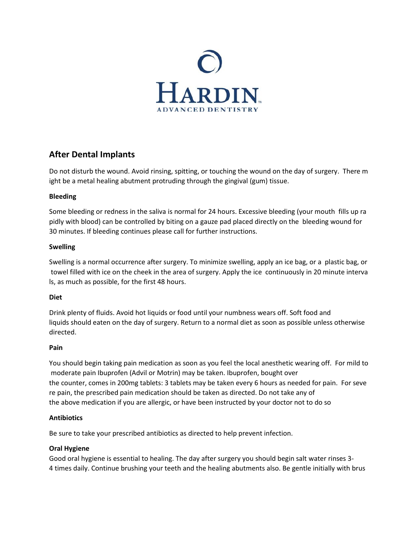

# **After Dental Implants**

Do not disturb the wound. Avoid rinsing, spitting, or touching the wound on the day of surgery. There m ight be a metal healing abutment protruding through the gingival (gum) tissue.

# **Bleeding**

Some bleeding or redness in the saliva is normal for 24 hours. Excessive bleeding (your mouth fills up ra pidly with blood) can be controlled by biting on a gauze pad placed directly on the bleeding wound for 30 minutes. If bleeding continues please call for further instructions.

# **Swelling**

Swelling is a normal occurrence after surgery. To minimize swelling, apply an ice bag, or a plastic bag, or towel filled with ice on the cheek in the area of surgery. Apply the ice continuously in 20 minute interva ls, as much as possible, for the first 48 hours.

## **Diet**

Drink plenty of fluids. Avoid hot liquids or food until your numbness wears off. Soft food and liquids should eaten on the day of surgery. Return to a normal diet as soon as possible unless otherwise directed.

## **Pain**

You should begin taking pain medication as soon as you feel the local anesthetic wearing off. For mild to moderate pain Ibuprofen (Advil or Motrin) may be taken. Ibuprofen, bought over the counter, comes in 200mg tablets: 3 tablets may be taken every 6 hours as needed for pain. For seve re pain, the prescribed pain medication should be taken as directed. Do not take any of the above medication if you are allergic, or have been instructed by your doctor not to do so

# **Antibiotics**

Be sure to take your prescribed antibiotics as directed to help prevent infection.

# **Oral Hygiene**

Good oral hygiene is essential to healing. The day after surgery you should begin salt water rinses 3- 4 times daily. Continue brushing your teeth and the healing abutments also. Be gentle initially with brus